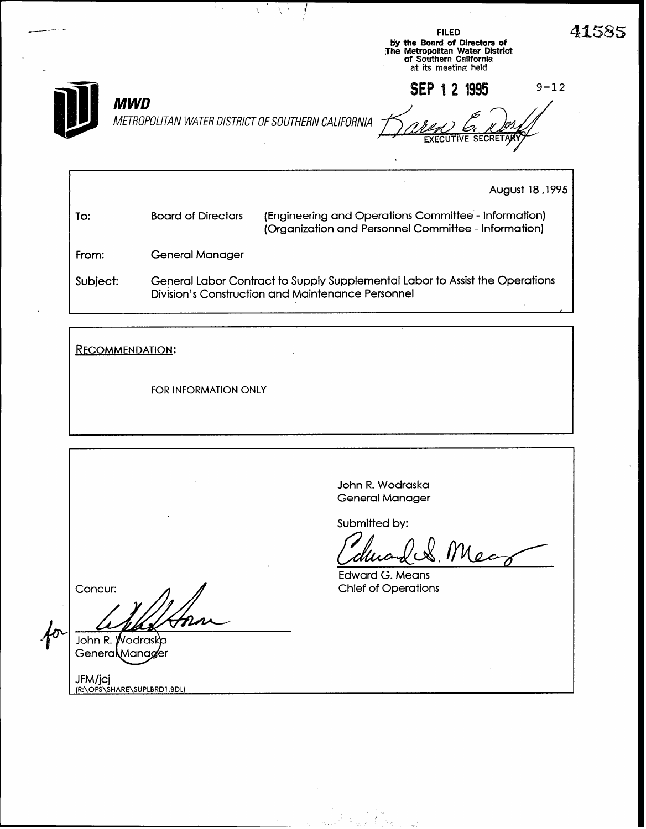|                                                                  | <b>FILED</b><br>by the Board of Directors of<br>The Metropolitan Water District<br>of Southern California<br>at its meeting held | 41585           |
|------------------------------------------------------------------|----------------------------------------------------------------------------------------------------------------------------------|-----------------|
| <b>MWD</b><br>METROPOLITAN WATER DISTRICT OF SOUTHERN CALIFORNIA | SEP 1 2 1995<br><b>EXECUTIVE SECRETARY</b>                                                                                       | $9 - 12$        |
|                                                                  |                                                                                                                                  | August 18, 1995 |

I i

| To:      | <b>Board of Directors</b>                                                                                                         | (Engineering and Operations Committee - Information)<br>(Organization and Personnel Committee - Information) |  |
|----------|-----------------------------------------------------------------------------------------------------------------------------------|--------------------------------------------------------------------------------------------------------------|--|
| From:    | General Manager                                                                                                                   |                                                                                                              |  |
| Subject: | General Labor Contract to Supply Supplemental Labor to Assist the Operations<br>Division's Construction and Maintenance Personnel |                                                                                                              |  |

RECOMMENDATION:  $\mathbb{Z}$ FOR INFORMATION ONLY

|                                        | John R. Wodraska<br><b>General Manager</b>           |
|----------------------------------------|------------------------------------------------------|
| ٠                                      | Submitted by:                                        |
|                                        | durand & Mean                                        |
| Concur:                                | <b>Edward G. Means</b><br><b>Chief of Operations</b> |
|                                        |                                                      |
| John R. Wodraska                       |                                                      |
| Genera Manager                         |                                                      |
| JFM/jcj<br>(R:\OPS\SHARE\SUPLBRD1.BDL) |                                                      |

<u> Lab</u>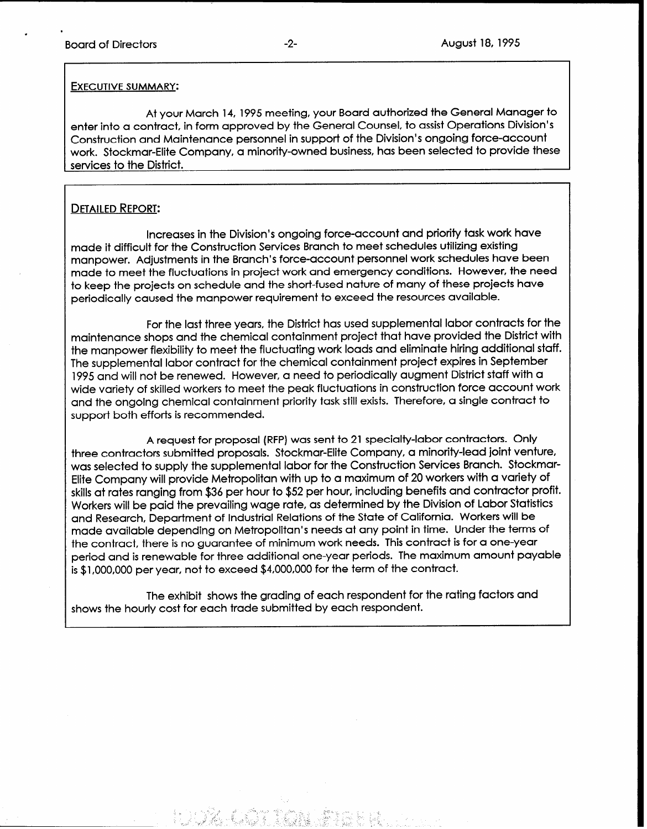.

## EXECUTIVE SUMMARY:

At your March 14, 1995 meeting, your Board authorized the General Manager to enter into a contract, in form approved by the General Counsel, to assist Operations Division's Construction and Maintenance personnel in support of the Division's ongoing force-account work. Stockmar-Elite Company, a minority-owned business, has been selected to provide these services to the District.

## DETAILED REPORT:

Increases in the Division's ongoing force-account and priority task work have made it difficult for the Construction Services Branch to meet schedules utilizing existing manpower. Adjustments in the Branch's force-account personnel work schedules have been made to meet the fluctuations in project work and emergency conditions. However, the need to keep the projects on schedule and the short-fused nature of many of these projects have periodically caused the manpower requirement to exceed the resources available.

For the last three years, the District has used supplemental labor contracts for the maintenance shops and the chemical containment project that have provided the District with the manpower flexibility to meet the fluctuating work loads and eliminate hiring additional staff. The supplemental labor contract for the chemical containment project expires in September 1995 and will not be renewed. However, a need to periodically augment District staff with a wide variety of skilled workers to meet the peak fluctuations in construction force account work and the ongoing chemical containment priority task still exists. Therefore, a single contract to support both efforts is recommended.

A request for proposal (RFP) was sent to 21 specialty-labor contractors. Only three contractors submitted proposals. Stockmar-Elite Company, a minority-lead joint venture, was selected to supply the supplemental labor for the Construction Services Branch. Stockmar-Elite Company will provide Metropolitan with up to a maximum of 20 workers with a variety of skills at rates ranging from \$36 per hour to \$52 per hour, including benefits and contractor profit. Workers will be paid the prevailing wage rate, as determined by the Division of Labor Statistics and Research, Department of Industrial Relations of the State of California. Workers will be made available depending on Metropolitan's needs at any point in time. Under the terms of the contract, there is no guarantee of minimum work needs. This contract is for a one-year period and is renewable for three additional one-year periods. The maximum amount payable is \$1 ,OOO,OOO per year, not to exceed \$4,000,000 for the term of the contract.

The exhibit shows the grading of each respondent for the rating factors and shows the hourly cost for each trade submitted by each respondent.

- - ..., - ..., - ..., - ..., - ..., - ..., - ..., - ..., - ..., - ..., - ..., - ..., - ..., - ..., - ..., - ..

1. \_ - \_ :- ;- . 1 1 -

i ~ \_ "

/ ?.\_ 9; \_ -\_ : T>  $'$  .